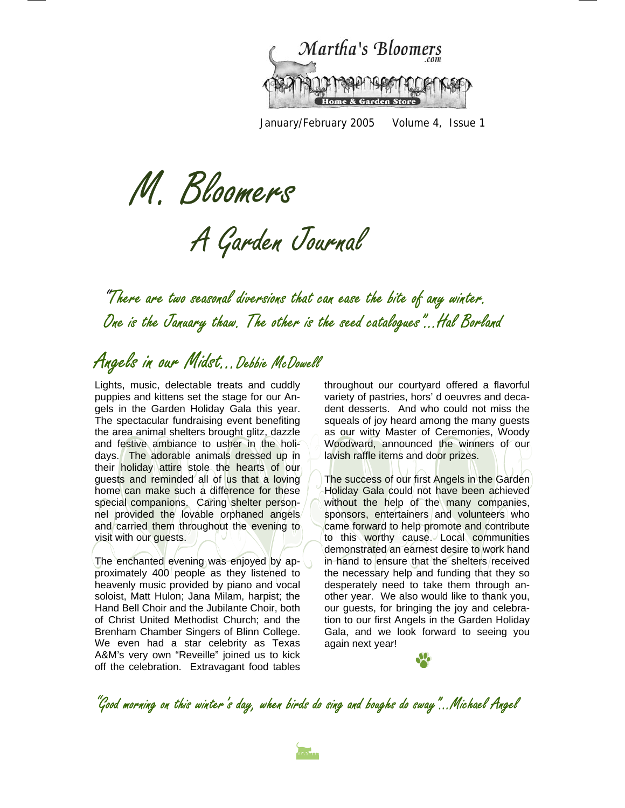

January/February 2005 Volume 4, Issue 1

M. Bloomers

A Garden Journal

"There are two seasonal diversions that can ease the bite of any winter. One is the January thaw. The other is the seed catalogues"...Hal Borland

### Angels in our Midst...Debbie McDowell

Lights, music, delectable treats and cuddly puppies and kittens set the stage for our Angels in the Garden Holiday Gala this year. The spectacular fundraising event benefiting the area animal shelters brought glitz, dazzle and festive ambiance to usher in the holidays. The adorable animals dressed up in their holiday attire stole the hearts of our guests and reminded all of us that a loving home can make such a difference for these special companions. Caring shelter personnel provided the lovable orphaned angels and carried them throughout the evening to visit with our guests.

The enchanted evening was enjoyed by approximately 400 people as they listened to heavenly music provided by piano and vocal soloist, Matt Hulon; Jana Milam, harpist; the Hand Bell Choir and the Jubilante Choir, both of Christ United Methodist Church; and the Brenham Chamber Singers of Blinn College. We even had a star celebrity as Texas A&M's very own "Reveille" joined us to kick off the celebration. Extravagant food tables

throughout our courtyard offered a flavorful variety of pastries, hors' d oeuvres and decadent desserts. And who could not miss the squeals of joy heard among the many guests as our witty Master of Ceremonies, Woody Woodward, announced the winners of our lavish raffle items and door prizes.

The success of our first Angels in the Garden Holiday Gala could not have been achieved without the help of the many companies, sponsors, entertainers and volunteers who came forward to help promote and contribute to this worthy cause. Local communities demonstrated an earnest desire to work hand in hand to ensure that the shelters received the necessary help and funding that they so desperately need to take them through another year. We also would like to thank you, our guests, for bringing the joy and celebration to our first Angels in the Garden Holiday Gala, and we look forward to seeing you again next year!



"Good morning on this winter's day, when birds do sing and boughs do sway"...Michael Angel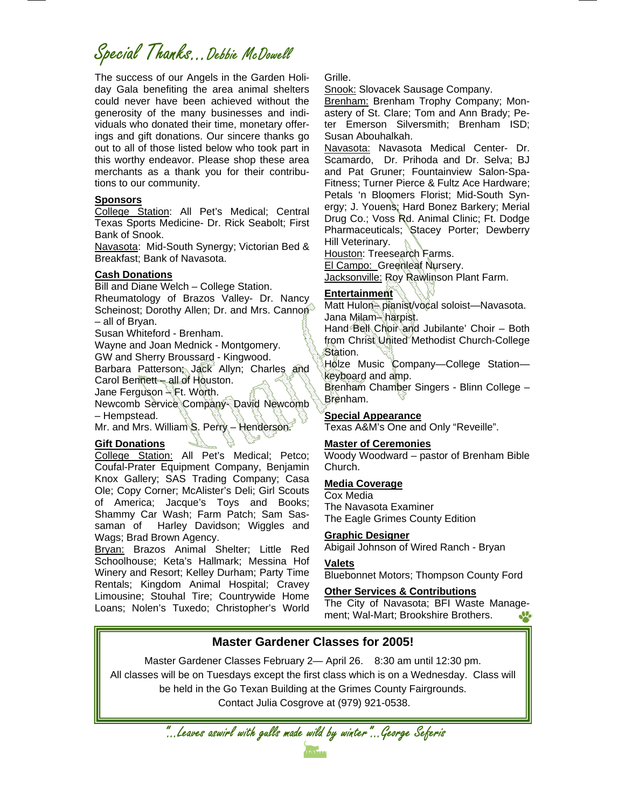# Special Thanks...Debbie McDowell

The success of our Angels in the Garden Holiday Gala benefiting the area animal shelters could never have been achieved without the generosity of the many businesses and individuals who donated their time, monetary offerings and gift donations. Our sincere thanks go out to all of those listed below who took part in this worthy endeavor. Please shop these area merchants as a thank you for their contributions to our community.

### **Sponsors**

College Station: All Pet's Medical; Central Texas Sports Medicine- Dr. Rick Seabolt; First Bank of Snook.

Navasota: Mid-South Synergy; Victorian Bed & Breakfast; Bank of Navasota.

### **Cash Donations**

Bill and Diane Welch – College Station. Rheumatology of Brazos Valley- Dr. Nancy Scheinost; Dorothy Allen; Dr. and Mrs. Cannon® – all of Bryan.

Susan Whiteford - Brenham. Wayne and Joan Mednick - Montgomery. GW and Sherry Broussard - Kingwood. Barbara Patterson; Jack Allyn; Charles and Carol Bennett – all of Houston. Jane Ferguson – Ft. Worth. Newcomb Service Company- David Newcomb – Hempstead.

Mr. and Mrs. William S. Perry – Henderson.

### **Gift Donations**

College Station: All Pet's Medical; Petco; Coufal-Prater Equipment Company, Benjamin Knox Gallery; SAS Trading Company; Casa Ole; Copy Corner; McAlister's Deli; Girl Scouts of America; Jacque's Toys and Books; Shammy Car Wash; Farm Patch; Sam Sassaman of Harley Davidson; Wiggles and Wags; Brad Brown Agency.

Bryan: Brazos Animal Shelter; Little Red Schoolhouse; Keta's Hallmark; Messina Hof Winery and Resort; Kelley Durham; Party Time Rentals; Kingdom Animal Hospital; Cravey Limousine; Stouhal Tire; Countrywide Home Loans; Nolen's Tuxedo; Christopher's World

Grille.

Snook: Slovacek Sausage Company.

Brenham: Brenham Trophy Company; Monastery of St. Clare; Tom and Ann Brady; Peter Emerson Silversmith; Brenham ISD; Susan Abouhalkah.

Navasota: Navasota Medical Center- Dr. Scamardo, Dr. Prihoda and Dr. Selva; BJ and Pat Gruner; Fountainview Salon-Spa-Fitness; Turner Pierce & Fultz Ace Hardware; Petals 'n Bloomers Florist; Mid-South Synergy; J. Youens; Hard Bonez Barkery; Merial Drug Co.; Voss Rd. Animal Clinic; Ft. Dodge Pharmaceuticals; Stacey Porter; Dewberry Hill Veterinary.

Houston: Treesearch Farms.

El Campo: Greenleaf Nursery.

Jacksonville: Roy Rawlinson Plant Farm.

### **Entertainment**

Matt Hulon-pianist/vocal soloist-Navasota. Jana Milam– harpist.

Hand Bell Choir and Jubilante' Choir – Both from Christ United Methodist Church-College Station.

Holze Music Company-College Stationkeyboard and amp.

Brenham Chamber Singers - Blinn College – Brenham.

### **Special Appearance**

Texas A&M's One and Only "Reveille".

#### **Master of Ceremonies**

Woody Woodward – pastor of Brenham Bible Church.

#### **Media Coverage**

Cox Media The Navasota Examiner The Eagle Grimes County Edition

#### **Graphic Designer**

Abigail Johnson of Wired Ranch - Bryan

#### **Valets**

Bluebonnet Motors; Thompson County Ford

#### **Other Services & Contributions**

The City of Navasota; BFI Waste Management; Wal-Mart; Brookshire Brothers.

### **Master Gardener Classes for 2005!**

Master Gardener Classes February 2— April 26. 8:30 am until 12:30 pm.

All classes will be on Tuesdays except the first class which is on a Wednesday. Class will be held in the Go Texan Building at the Grimes County Fairgrounds. Contact Julia Cosgrove at (979) 921-0538.

"...Leaves aswirl with gulls made wild by winter"...George Seferis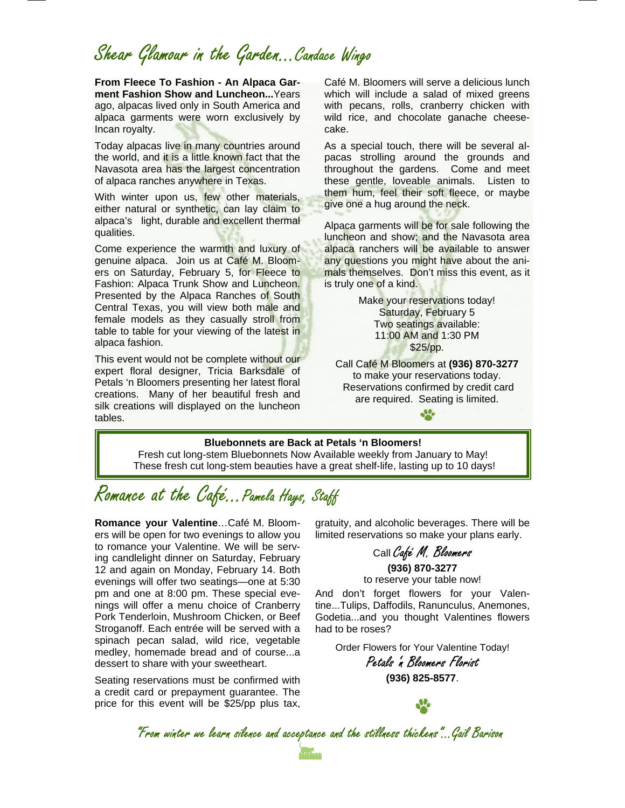# Shear Glamour in the Garden...Candace Wingo

**From Fleece To Fashion - An Alpaca Garment Fashion Show and Luncheon...**Years ago, alpacas lived only in South America and alpaca garments were worn exclusively by Incan royalty.

Today alpacas live in many countries around the world, and it is a little known fact that the Navasota area has the largest concentration of alpaca ranches anywhere in Texas.

With winter upon us, few other materials, either natural or synthetic, can lay claim to alpaca's light, durable and excellent thermal qualities.

Come experience the warmth and luxury of genuine alpaca. Join us at Café M. Bloomers on Saturday, February 5, for Fleece to Fashion: Alpaca Trunk Show and Luncheon. Presented by the Alpaca Ranches of South Central Texas, you will view both male and female models as they casually stroll from table to table for your viewing of the latest in alpaca fashion.

This event would not be complete without our expert floral designer, Tricia Barksdale of Petals 'n Bloomers presenting her latest floral creations. Many of her beautiful fresh and silk creations will displayed on the luncheon tables.

Café M. Bloomers will serve a delicious lunch which will include a salad of mixed greens with pecans, rolls, cranberry chicken with wild rice, and chocolate ganache cheesecake.

As a special touch, there will be several alpacas strolling around the grounds and throughout the gardens. Come and meet these gentle, loveable animals. Listen to them hum, feel their soft fleece, or maybe give one a hug around the neck.

Alpaca garments will be for sale following the luncheon and show; and the Navasota area alpaca ranchers will be available to answer any questions you might have about the animals themselves. Don't miss this event, as it is truly one of a kind.

> Make your reservations today! Saturday, February 5 Two seatings available: 11:00 AM and 1:30 PM \$25/pp.

Call Café M Bloomers at **(936) 870-3277**  to make your reservations today. Reservations confirmed by credit card are required. Seating is limited.

**SP** 

#### **Bluebonnets are Back at Petals 'n Bloomers!**

Fresh cut long-stem Bluebonnets Now Available weekly from January to May! These fresh cut long-stem beauties have a great shelf-life, lasting up to 10 days!

### Romance at the Café...Pamela Hays, Staff

**Romance your Valentine**…Café M. Bloomers will be open for two evenings to allow you to romance your Valentine. We will be serving candlelight dinner on Saturday, February 12 and again on Monday, February 14. Both evenings will offer two seatings—one at 5:30 pm and one at 8:00 pm. These special evenings will offer a menu choice of Cranberry Pork Tenderloin, Mushroom Chicken, or Beef Stroganoff. Each entrée will be served with a spinach pecan salad, wild rice, vegetable medley, homemade bread and of course...a dessert to share with your sweetheart.

Seating reservations must be confirmed with a credit card or prepayment guarantee. The price for this event will be \$25/pp plus tax,

gratuity, and alcoholic beverages. There will be limited reservations so make your plans early.

Call Café M. Bloomers

**(936) 870-3277**  to reserve your table now!

And don't forget flowers for your Valentine...Tulips, Daffodils, Ranunculus, Anemones, Godetia...and you thought Valentines flowers had to be roses?

Order Flowers for Your Valentine Today!

Petals 'n Bloomers Florist **(936) 825-8577**.

"From winter we learn silence and acceptance and the stillness thickens"...Gail Barison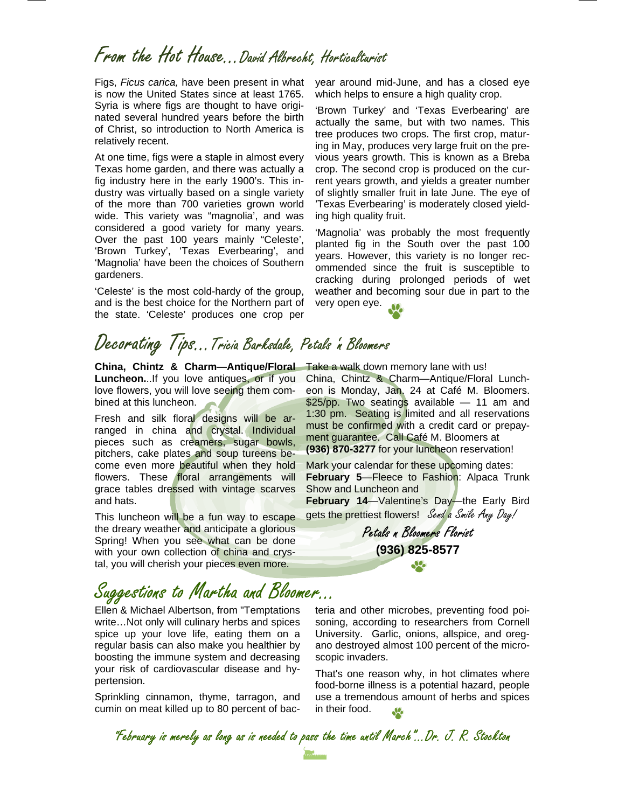# From the Hot House...David Albrecht, Horticulturist

Figs, *Ficus carica,* have been present in what is now the United States since at least 1765. Syria is where figs are thought to have originated several hundred years before the birth of Christ, so introduction to North America is relatively recent.

At one time, figs were a staple in almost every Texas home garden, and there was actually a fig industry here in the early 1900's. This industry was virtually based on a single variety of the more than 700 varieties grown world wide. This variety was "magnolia', and was considered a good variety for many years. Over the past 100 years mainly "Celeste', 'Brown Turkey', 'Texas Everbearing', and 'Magnolia' have been the choices of Southern gardeners.

'Celeste' is the most cold-hardy of the group, and is the best choice for the Northern part of the state. 'Celeste' produces one crop per

# Decorating Tips…Tricia Barksdale, Petals 'n Bloomers

**China, Chintz & Charm—Antique/Floral**  Take a walk down memory lane with us! **Luncheon.**..If you love antiques, or if you love flowers, you will love seeing them combined at this luncheon.

Fresh and silk floral designs will be arranged in china and crystal. Individual pieces such as creamers, sugar bowls, pitchers, cake plates and soup tureens become even more beautiful when they hold flowers. These floral arrangements will grace tables dressed with vintage scarves and hats.

This luncheon will be a fun way to escape the dreary weather and anticipate a glorious Spring! When you see what can be done with your own collection of china and crystal, you will cherish your pieces even more.

# Suggestions to Martha and Bloomer...

Ellen & Michael Albertson, from "Temptations write…Not only will culinary herbs and spices spice up your love life, eating them on a regular basis can also make you healthier by boosting the immune system and decreasing your risk of cardiovascular disease and hypertension.

Sprinkling cinnamon, thyme, tarragon, and cumin on meat killed up to 80 percent of bacyear around mid-June, and has a closed eye which helps to ensure a high quality crop.

'Brown Turkey' and 'Texas Everbearing' are actually the same, but with two names. This tree produces two crops. The first crop, maturing in May, produces very large fruit on the previous years growth. This is known as a Breba crop. The second crop is produced on the current years growth, and yields a greater number of slightly smaller fruit in late June. The eye of 'Texas Everbearing' is moderately closed yielding high quality fruit.

'Magnolia' was probably the most frequently planted fig in the South over the past 100 years. However, this variety is no longer recommended since the fruit is susceptible to cracking during prolonged periods of wet weather and becoming sour due in part to the very open eye.



China, Chintz & Charm—Antique/Floral Luncheon is Monday, Jan. 24 at Café M. Bloomers. \$25/pp. Two seatings available — 11 am and 1:30 pm. Seating is limited and all reservations must be confirmed with a credit card or prepayment guarantee. Call Café M. Bloomers at

Mark your calendar for these upcoming dates: **February 5**—Fleece to Fashion: Alpaca Trunk Show and Luncheon and

**(936) 870-3277** for your luncheon reservation!

**February 14**—Valentine's Day—the Early Bird gets the prettiest flowers! Send a Smile Any Day!

> Petals n Bloomers Florist **(936) 825-8577**

teria and other microbes, preventing food poisoning, according to researchers from Cornell University. Garlic, onions, allspice, and oregano destroyed almost 100 percent of the microscopic invaders.

That's one reason why, in hot climates where food-borne illness is a potential hazard, people use a tremendous amount of herbs and spices in their food.

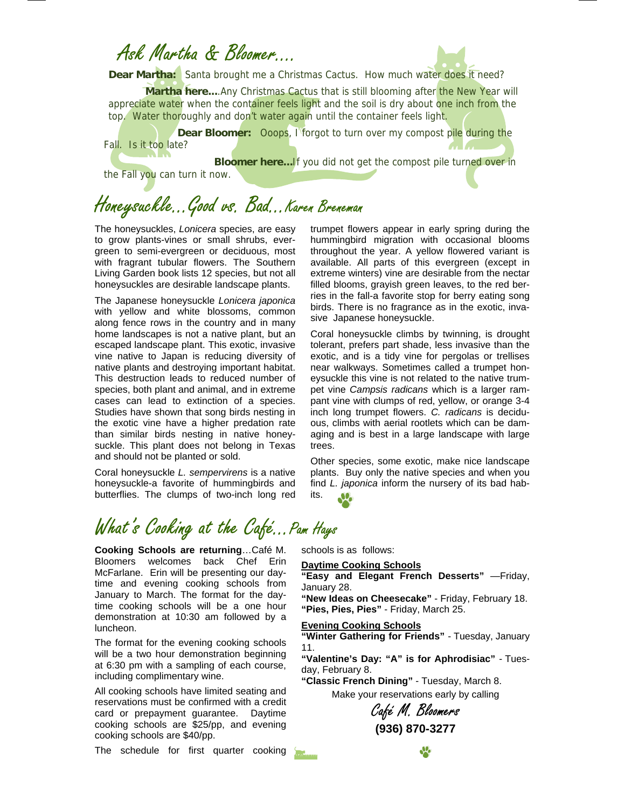### Ask Martha & Bloomer….



Dear Martha: Santa brought me a Christmas Cactus. How much water does it need?

**Martha here....**Any Christmas Cactus that is still blooming after the New Year will appreciate water when the container feels light and the soil is dry about one inch from the top. Water thoroughly and don't water again until the container feels light.

**Dear Bloomer:** Ooops, I forgot to turn over my compost pile during the Fall. Is it too late?

**Bloomer here...** If you did not get the compost pile turned over in

the Fall you can turn it now.

# Honeysuckle...Good vs. Bad...Karen Breneman

The honeysuckles, *Lonicera* species, are easy to grow plants-vines or small shrubs, evergreen to semi-evergreen or deciduous, most with fragrant tubular flowers. The Southern Living Garden book lists 12 species, but not all honeysuckles are desirable landscape plants.

The Japanese honeysuckle *Lonicera japonica*  with yellow and white blossoms, common along fence rows in the country and in many home landscapes is not a native plant, but an escaped landscape plant. This exotic, invasive vine native to Japan is reducing diversity of native plants and destroying important habitat. This destruction leads to reduced number of species, both plant and animal, and in extreme cases can lead to extinction of a species. Studies have shown that song birds nesting in the exotic vine have a higher predation rate than similar birds nesting in native honeysuckle. This plant does not belong in Texas and should not be planted or sold.

Coral honeysuckle *L. sempervirens* is a native honeysuckle-a favorite of hummingbirds and butterflies. The clumps of two-inch long red trumpet flowers appear in early spring during the hummingbird migration with occasional blooms throughout the year. A yellow flowered variant is available. All parts of this evergreen (except in extreme winters) vine are desirable from the nectar filled blooms, grayish green leaves, to the red berries in the fall-a favorite stop for berry eating song birds. There is no fragrance as in the exotic, invasive Japanese honeysuckle.

Coral honeysuckle climbs by twinning, is drought tolerant, prefers part shade, less invasive than the exotic, and is a tidy vine for pergolas or trellises near walkways. Sometimes called a trumpet honeysuckle this vine is not related to the native trumpet vine *Campsis radicans* which is a larger rampant vine with clumps of red, yellow, or orange 3-4 inch long trumpet flowers. *C. radicans* is deciduous, climbs with aerial rootlets which can be damaging and is best in a large landscape with large trees.

Other species, some exotic, make nice landscape plants. Buy only the native species and when you find *L. japonica* inform the nursery of its bad habits.  $\mathbf{M}_{\bullet}$ 

# What's Cooking at the Café... Pam Hays

**Cooking Schools are returning**…Café M. Bloomers welcomes back Chef Erin McFarlane. Erin will be presenting our daytime and evening cooking schools from January to March. The format for the daytime cooking schools will be a one hour demonstration at 10:30 am followed by a luncheon.

The format for the evening cooking schools will be a two hour demonstration beginning at 6:30 pm with a sampling of each course, including complimentary wine.

All cooking schools have limited seating and reservations must be confirmed with a credit card or prepayment guarantee. Daytime cooking schools are \$25/pp, and evening cooking schools are \$40/pp.

The schedule for first quarter cooking

schools is as follows:

#### **Daytime Cooking Schools**

**"Easy and Elegant French Desserts"** —Friday, January 28.

**"New Ideas on Cheesecake"** - Friday, February 18. **"Pies, Pies, Pies"** - Friday, March 25.

#### **Evening Cooking Schools**

**"Winter Gathering for Friends"** - Tuesday, January 11.

**"Valentine's Day: "A" is for Aphrodisiac"** - Tuesday, February 8.

**"Classic French Dining"** - Tuesday, March 8. Make your reservations early by calling

Café M. Bloomers **(936) 870-3277**